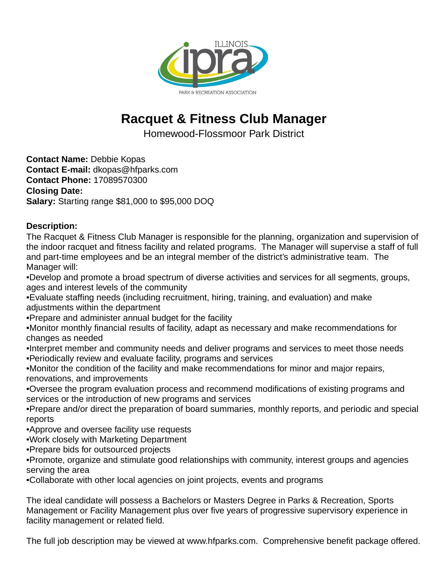

## **Racquet & Fitness Club Manager**

Homewood-Flossmoor Park District

**Contact Name:** Debbie Kopas **Contact E-mail:** dkopas@hfparks.com **Contact Phone:** 17089570300 **Closing Date: Salary:** Starting range \$81,000 to \$95,000 DOQ

## **Description:**

The Racquet & Fitness Club Manager is responsible for the planning, organization and supervision of the indoor racquet and fitness facility and related programs. The Manager will supervise a staff of full and part-time employees and be an integral member of the district's administrative team. The Manager will:

- Develop and promote a broad spectrum of diverse activities and services for all segments, groups, ages and interest levels of the community
- Evaluate staffing needs (including recruitment, hiring, training, and evaluation) and make adjustments within the department
- Prepare and administer annual budget for the facility
- Monitor monthly financial results of facility, adapt as necessary and make recommendations for changes as needed
- Interpret member and community needs and deliver programs and services to meet those needs
- Periodically review and evaluate facility, programs and services
- Monitor the condition of the facility and make recommendations for minor and major repairs, renovations, and improvements
- Oversee the program evaluation process and recommend modifications of existing programs and services or the introduction of new programs and services
- Prepare and/or direct the preparation of board summaries, monthly reports, and periodic and special reports
- Approve and oversee facility use requests
- Work closely with Marketing Department
- Prepare bids for outsourced projects
- Promote, organize and stimulate good relationships with community, interest groups and agencies serving the area
- Collaborate with other local agencies on joint projects, events and programs

The ideal candidate will possess a Bachelors or Masters Degree in Parks & Recreation, Sports Management or Facility Management plus over five years of progressive supervisory experience in facility management or related field.

The full job description may be viewed at www.hfparks.com. Comprehensive benefit package offered.